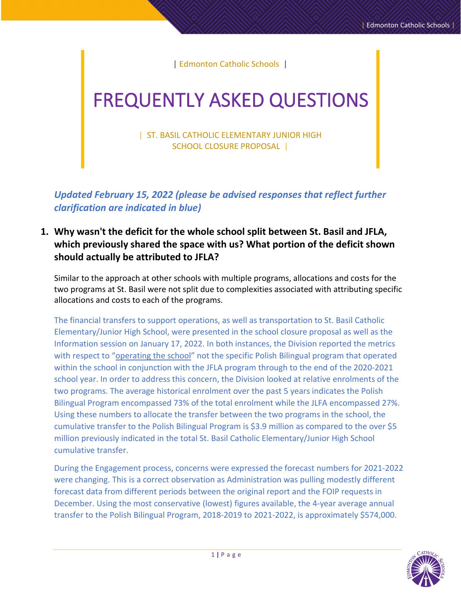| Edmonton Catholic Schools |

# FREQUENTLY ASKED QUESTIONS

| ST. BASIL CATHOLIC ELEMENTARY JUNIOR HIGH SCHOOL CLOSURE PROPOSAL |

*Updated February 15, 2022 (please be advised responses that reflect further clarification are indicated in blue)*

# **1. Why wasn't the deficit for the whole school split between St. Basil and JFLA, which previously shared the space with us? What portion of the deficit shown should actually be attributed to JFLA?**

Similar to the approach at other schools with multiple programs, allocations and costs for the two programs at St. Basil were not split due to complexities associated with attributing specific allocations and costs to each of the programs.

The financial transfers to support operations, as well as transportation to St. Basil Catholic Elementary/Junior High School, were presented in the school closure proposal as well as the Information session on January 17, 2022. In both instances, the Division reported the metrics with respect to "operating the school" not the specific Polish Bilingual program that operated within the school in conjunction with the JFLA program through to the end of the 2020-2021 school year. In order to address this concern, the Division looked at relative enrolments of the two programs. The average historical enrolment over the past 5 years indicates the Polish Bilingual Program encompassed 73% of the total enrolment while the JLFA encompassed 27%. Using these numbers to allocate the transfer between the two programs in the school, the cumulative transfer to the Polish Bilingual Program is \$3.9 million as compared to the over \$5 million previously indicated in the total St. Basil Catholic Elementary/Junior High School cumulative transfer.

During the Engagement process, concerns were expressed the forecast numbers for 2021-2022 were changing. This is a correct observation as Administration was pulling modestly different forecast data from different periods between the original report and the FOIP requests in December. Using the most conservative (lowest) figures available, the 4-year average annual transfer to the Polish Bilingual Program, 2018-2019 to 2021-2022, is approximately \$574,000.

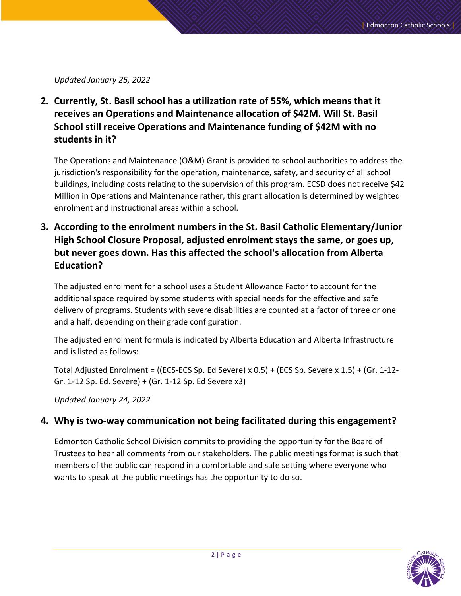*Updated January 25, 2022*

**2. Currently, St. Basil school has a utilization rate of 55%, which means that it receives an Operations and Maintenance allocation of \$42M. Will St. Basil School still receive Operations and Maintenance funding of \$42M with no students in it?**

The Operations and Maintenance (O&M) Grant is provided to school authorities to address the jurisdiction's responsibility for the operation, maintenance, safety, and security of all school buildings, including costs relating to the supervision of this program. ECSD does not receive \$42 Million in Operations and Maintenance rather, this grant allocation is determined by weighted enrolment and instructional areas within a school.

**3. According to the enrolment numbers in the St. Basil Catholic Elementary/Junior High School Closure Proposal, adjusted enrolment stays the same, or goes up, but never goes down. Has this affected the school's allocation from Alberta Education?**

The adjusted enrolment for a school uses a Student Allowance Factor to account for the additional space required by some students with special needs for the effective and safe delivery of programs. Students with severe disabilities are counted at a factor of three or one and a half, depending on their grade configuration.

The adjusted enrolment formula is indicated by Alberta Education and Alberta Infrastructure and is listed as follows:

Total Adjusted Enrolment = ((ECS-ECS Sp. Ed Severe) x 0.5) + (ECS Sp. Severe x 1.5) + (Gr. 1-12- Gr. 1-12 Sp. Ed. Severe) + (Gr. 1-12 Sp. Ed Severe x3)

*Updated January 24, 2022*

#### **4. Why is two-way communication not being facilitated during this engagement?**

Edmonton Catholic School Division commits to providing the opportunity for the Board of Trustees to hear all comments from our stakeholders. The public meetings format is such that members of the public can respond in a comfortable and safe setting where everyone who wants to speak at the public meetings has the opportunity to do so.

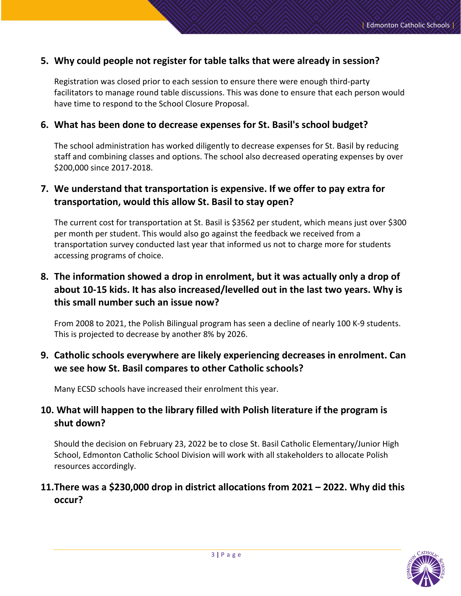#### **5. Why could people not register for table talks that were already in session?**

Registration was closed prior to each session to ensure there were enough third-party facilitators to manage round table discussions. This was done to ensure that each person would have time to respond to the School Closure Proposal.

#### **6. What has been done to decrease expenses for St. Basil's school budget?**

The school administration has worked diligently to decrease expenses for St. Basil by reducing staff and combining classes and options. The school also decreased operating expenses by over \$200,000 since 2017-2018.

## **7. We understand that transportation is expensive. If we offer to pay extra for transportation, would this allow St. Basil to stay open?**

The current cost for transportation at St. Basil is \$3562 per student, which means just over \$300 per month per student. This would also go against the feedback we received from a transportation survey conducted last year that informed us not to charge more for students accessing programs of choice.

# **8. The information showed a drop in enrolment, but it was actually only a drop of about 10-15 kids. It has also increased/levelled out in the last two years. Why is this small number such an issue now?**

From 2008 to 2021, the Polish Bilingual program has seen a decline of nearly 100 K-9 students. This is projected to decrease by another 8% by 2026.

## **9. Catholic schools everywhere are likely experiencing decreases in enrolment. Can we see how St. Basil compares to other Catholic schools?**

Many ECSD schools have increased their enrolment this year.

## **10. What will happen to the library filled with Polish literature if the program is shut down?**

Should the decision on February 23, 2022 be to close St. Basil Catholic Elementary/Junior High School, Edmonton Catholic School Division will work with all stakeholders to allocate Polish resources accordingly.

## **11.There was a \$230,000 drop in district allocations from 2021 – 2022. Why did this occur?**

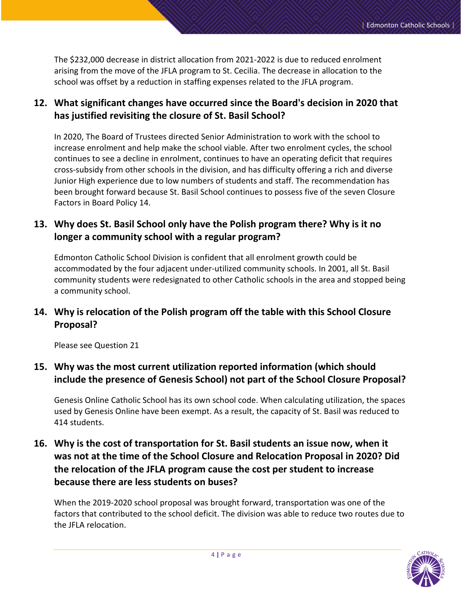The \$232,000 decrease in district allocation from 2021-2022 is due to reduced enrolment arising from the move of the JFLA program to St. Cecilia. The decrease in allocation to the school was offset by a reduction in staffing expenses related to the JFLA program.

# **12. What significant changes have occurred since the Board's decision in 2020 that has justified revisiting the closure of St. Basil School?**

In 2020, The Board of Trustees directed Senior Administration to work with the school to increase enrolment and help make the school viable. After two enrolment cycles, the school continues to see a decline in enrolment, continues to have an operating deficit that requires cross-subsidy from other schools in the division, and has difficulty offering a rich and diverse Junior High experience due to low numbers of students and staff. The recommendation has been brought forward because St. Basil School continues to possess five of the seven Closure Factors in Board Policy 14.

## **13. Why does St. Basil School only have the Polish program there? Why is it no longer a community school with a regular program?**

Edmonton Catholic School Division is confident that all enrolment growth could be accommodated by the four adjacent under-utilized community schools. In 2001, all St. Basil community students were redesignated to other Catholic schools in the area and stopped being a community school.

# **14. Why is relocation of the Polish program off the table with this School Closure Proposal?**

Please see Question 21

## **15. Why was the most current utilization reported information (which should include the presence of Genesis School) not part of the School Closure Proposal?**

Genesis Online Catholic School has its own school code. When calculating utilization, the spaces used by Genesis Online have been exempt. As a result, the capacity of St. Basil was reduced to 414 students.

# **16. Why is the cost of transportation for St. Basil students an issue now, when it was not at the time of the School Closure and Relocation Proposal in 2020? Did the relocation of the JFLA program cause the cost per student to increase because there are less students on buses?**

When the 2019-2020 school proposal was brought forward, transportation was one of the factors that contributed to the school deficit. The division was able to reduce two routes due to the JFLA relocation.

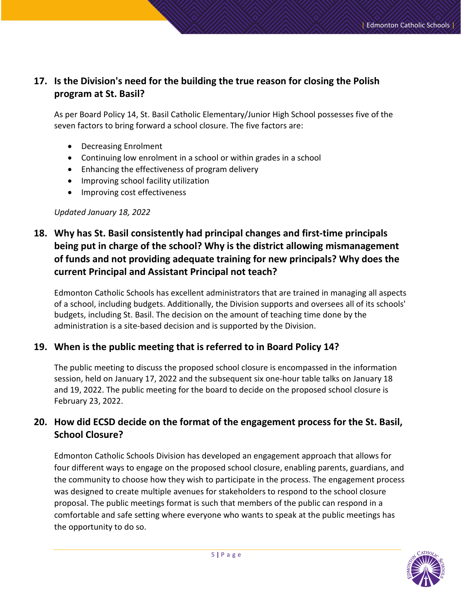# **17. Is the Division's need for the building the true reason for closing the Polish program at St. Basil?**

As per Board Policy 14, St. Basil Catholic Elementary/Junior High School possesses five of the seven factors to bring forward a school closure. The five factors are:

- Decreasing Enrolment
- Continuing low enrolment in a school or within grades in a school
- Enhancing the effectiveness of program delivery
- Improving school facility utilization
- Improving cost effectiveness

#### *Updated January 18, 2022*

# **18. Why has St. Basil consistently had principal changes and first-time principals being put in charge of the school? Why is the district allowing mismanagement of funds and not providing adequate training for new principals? Why does the current Principal and Assistant Principal not teach?**

Edmonton Catholic Schools has excellent administrators that are trained in managing all aspects of a school, including budgets. Additionally, the Division supports and oversees all of its schools' budgets, including St. Basil. The decision on the amount of teaching time done by the administration is a site-based decision and is supported by the Division.

## **19. When is the public meeting that is referred to in Board Policy 14?**

The public meeting to discuss the proposed school closure is encompassed in the information session, held on January 17, 2022 and the subsequent six one-hour table talks on January 18 and 19, 2022. The public meeting for the board to decide on the proposed school closure is February 23, 2022.

# **20. How did ECSD decide on the format of the engagement process for the St. Basil, School Closure?**

Edmonton Catholic Schools Division has developed an engagement approach that allows for four different ways to engage on the proposed school closure, enabling parents, guardians, and the community to choose how they wish to participate in the process. The engagement process was designed to create multiple avenues for stakeholders to respond to the school closure proposal. The public meetings format is such that members of the public can respond in a comfortable and safe setting where everyone who wants to speak at the public meetings has the opportunity to do so.

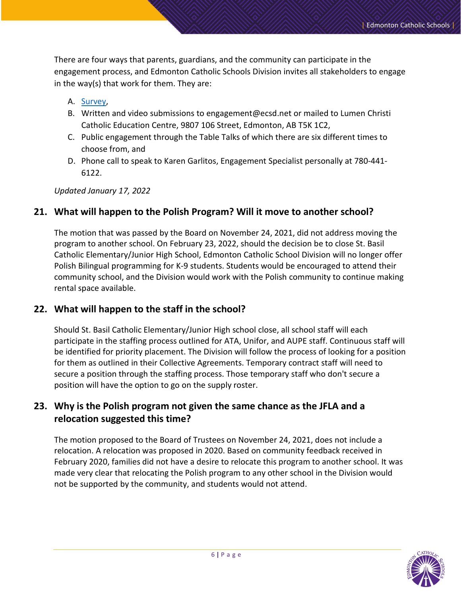There are four ways that parents, guardians, and the community can participate in the engagement process, and Edmonton Catholic Schools Division invites all stakeholders to engage in the way(s) that work for them. They are:

#### A. [Survey,](https://www.ecsd.net/page/38344/notice-regarding-st-basil-school)

- B. Written and video submissions to engagement@ecsd.net or mailed to Lumen Christi Catholic Education Centre, 9807 106 Street, Edmonton, AB T5K 1C2,
- C. Public engagement through the Table Talks of which there are six different times to choose from, and
- D. Phone call to speak to Karen Garlitos, Engagement Specialist personally at 780-441- 6122.

*Updated January 17, 2022*

#### **21. What will happen to the Polish Program? Will it move to another school?**

The motion that was passed by the Board on November 24, 2021, did not address moving the program to another school. On February 23, 2022, should the decision be to close St. Basil Catholic Elementary/Junior High School, Edmonton Catholic School Division will no longer offer Polish Bilingual programming for K-9 students. Students would be encouraged to attend their community school, and the Division would work with the Polish community to continue making rental space available.

#### **22. What will happen to the staff in the school?**

Should St. Basil Catholic Elementary/Junior High school close, all school staff will each participate in the staffing process outlined for ATA, Unifor, and AUPE staff. Continuous staff will be identified for priority placement. The Division will follow the process of looking for a position for them as outlined in their Collective Agreements. Temporary contract staff will need to secure a position through the staffing process. Those temporary staff who don't secure a position will have the option to go on the supply roster.

## **23. Why is the Polish program not given the same chance as the JFLA and a relocation suggested this time?**

The motion proposed to the Board of Trustees on November 24, 2021, does not include a relocation. A relocation was proposed in 2020. Based on community feedback received in February 2020, families did not have a desire to relocate this program to another school. It was made very clear that relocating the Polish program to any other school in the Division would not be supported by the community, and students would not attend.

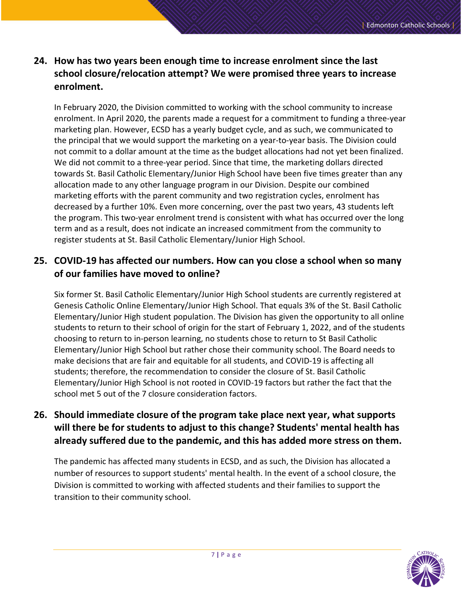# **24. How has two years been enough time to increase enrolment since the last school closure/relocation attempt? We were promised three years to increase enrolment.**

In February 2020, the Division committed to working with the school community to increase enrolment. In April 2020, the parents made a request for a commitment to funding a three-year marketing plan. However, ECSD has a yearly budget cycle, and as such, we communicated to the principal that we would support the marketing on a year-to-year basis. The Division could not commit to a dollar amount at the time as the budget allocations had not yet been finalized. We did not commit to a three-year period. Since that time, the marketing dollars directed towards St. Basil Catholic Elementary/Junior High School have been five times greater than any allocation made to any other language program in our Division. Despite our combined marketing efforts with the parent community and two registration cycles, enrolment has decreased by a further 10%. Even more concerning, over the past two years, 43 students left the program. This two-year enrolment trend is consistent with what has occurred over the long term and as a result, does not indicate an increased commitment from the community to register students at St. Basil Catholic Elementary/Junior High School.

# **25. COVID-19 has affected our numbers. How can you close a school when so many of our families have moved to online?**

Six former St. Basil Catholic Elementary/Junior High School students are currently registered at Genesis Catholic Online Elementary/Junior High School. That equals 3% of the St. Basil Catholic Elementary/Junior High student population. The Division has given the opportunity to all online students to return to their school of origin for the start of February 1, 2022, and of the students choosing to return to in-person learning, no students chose to return to St Basil Catholic Elementary/Junior High School but rather chose their community school. The Board needs to make decisions that are fair and equitable for all students, and COVID-19 is affecting all students; therefore, the recommendation to consider the closure of St. Basil Catholic Elementary/Junior High School is not rooted in COVID-19 factors but rather the fact that the school met 5 out of the 7 closure consideration factors.

# **26. Should immediate closure of the program take place next year, what supports will there be for students to adjust to this change? Students' mental health has already suffered due to the pandemic, and this has added more stress on them.**

The pandemic has affected many students in ECSD, and as such, the Division has allocated a number of resources to support students' mental health. In the event of a school closure, the Division is committed to working with affected students and their families to support the transition to their community school.

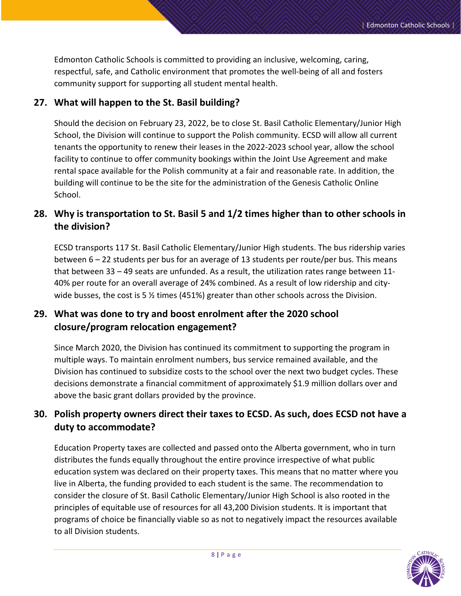Edmonton Catholic Schools is committed to providing an inclusive, welcoming, caring, respectful, safe, and Catholic environment that promotes the well-being of all and fosters community support for supporting all student mental health.

#### **27. What will happen to the St. Basil building?**

Should the decision on February 23, 2022, be to close St. Basil Catholic Elementary/Junior High School, the Division will continue to support the Polish community. ECSD will allow all current tenants the opportunity to renew their leases in the 2022-2023 school year, allow the school facility to continue to offer community bookings within the Joint Use Agreement and make rental space available for the Polish community at a fair and reasonable rate. In addition, the building will continue to be the site for the administration of the Genesis Catholic Online School.

# **28. Why is transportation to St. Basil 5 and 1/2 times higher than to other schools in the division?**

ECSD transports 117 St. Basil Catholic Elementary/Junior High students. The bus ridership varies between 6 – 22 students per bus for an average of 13 students per route/per bus. This means that between 33 – 49 seats are unfunded. As a result, the utilization rates range between 11- 40% per route for an overall average of 24% combined. As a result of low ridership and citywide busses, the cost is 5  $\frac{1}{2}$  times (451%) greater than other schools across the Division.

## **29. What was done to try and boost enrolment after the 2020 school closure/program relocation engagement?**

Since March 2020, the Division has continued its commitment to supporting the program in multiple ways. To maintain enrolment numbers, bus service remained available, and the Division has continued to subsidize costs to the school over the next two budget cycles. These decisions demonstrate a financial commitment of approximately \$1.9 million dollars over and above the basic grant dollars provided by the province.

# **30. Polish property owners direct their taxes to ECSD. As such, does ECSD not have a duty to accommodate?**

Education Property taxes are collected and passed onto the Alberta government, who in turn distributes the funds equally throughout the entire province irrespective of what public education system was declared on their property taxes. This means that no matter where you live in Alberta, the funding provided to each student is the same. The recommendation to consider the closure of St. Basil Catholic Elementary/Junior High School is also rooted in the principles of equitable use of resources for all 43,200 Division students. It is important that programs of choice be financially viable so as not to negatively impact the resources available to all Division students.

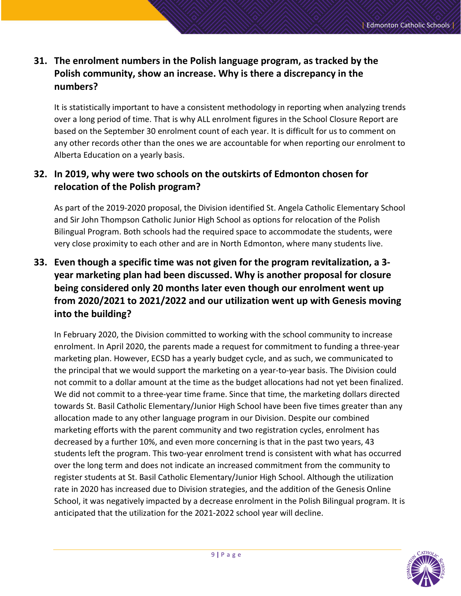# **31. The enrolment numbers in the Polish language program, as tracked by the Polish community, show an increase. Why is there a discrepancy in the numbers?**

It is statistically important to have a consistent methodology in reporting when analyzing trends over a long period of time. That is why ALL enrolment figures in the School Closure Report are based on the September 30 enrolment count of each year. It is difficult for us to comment on any other records other than the ones we are accountable for when reporting our enrolment to Alberta Education on a yearly basis.

# **32. In 2019, why were two schools on the outskirts of Edmonton chosen for relocation of the Polish program?**

As part of the 2019-2020 proposal, the Division identified St. Angela Catholic Elementary School and Sir John Thompson Catholic Junior High School as options for relocation of the Polish Bilingual Program. Both schools had the required space to accommodate the students, were very close proximity to each other and are in North Edmonton, where many students live.

# **33. Even though a specific time was not given for the program revitalization, a 3 year marketing plan had been discussed. Why is another proposal for closure being considered only 20 months later even though our enrolment went up from 2020/2021 to 2021/2022 and our utilization went up with Genesis moving into the building?**

In February 2020, the Division committed to working with the school community to increase enrolment. In April 2020, the parents made a request for commitment to funding a three-year marketing plan. However, ECSD has a yearly budget cycle, and as such, we communicated to the principal that we would support the marketing on a year-to-year basis. The Division could not commit to a dollar amount at the time as the budget allocations had not yet been finalized. We did not commit to a three-year time frame. Since that time, the marketing dollars directed towards St. Basil Catholic Elementary/Junior High School have been five times greater than any allocation made to any other language program in our Division. Despite our combined marketing efforts with the parent community and two registration cycles, enrolment has decreased by a further 10%, and even more concerning is that in the past two years, 43 students left the program. This two-year enrolment trend is consistent with what has occurred over the long term and does not indicate an increased commitment from the community to register students at St. Basil Catholic Elementary/Junior High School. Although the utilization rate in 2020 has increased due to Division strategies, and the addition of the Genesis Online School, it was negatively impacted by a decrease enrolment in the Polish Bilingual program. It is anticipated that the utilization for the 2021-2022 school year will decline.

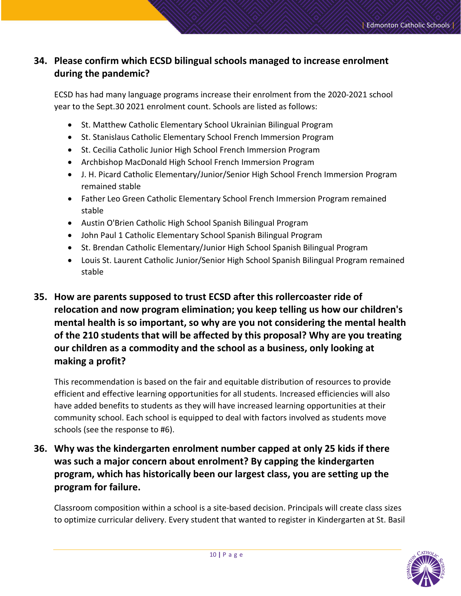# **34. Please confirm which ECSD bilingual schools managed to increase enrolment during the pandemic?**

ECSD has had many language programs increase their enrolment from the 2020-2021 school year to the Sept.30 2021 enrolment count. Schools are listed as follows:

- St. Matthew Catholic Elementary School Ukrainian Bilingual Program
- St. Stanislaus Catholic Elementary School French Immersion Program
- St. Cecilia Catholic Junior High School French Immersion Program
- Archbishop MacDonald High School French Immersion Program
- J. H. Picard Catholic Elementary/Junior/Senior High School French Immersion Program remained stable
- Father Leo Green Catholic Elementary School French Immersion Program remained stable
- Austin O'Brien Catholic High School Spanish Bilingual Program
- John Paul 1 Catholic Elementary School Spanish Bilingual Program
- St. Brendan Catholic Elementary/Junior High School Spanish Bilingual Program
- Louis St. Laurent Catholic Junior/Senior High School Spanish Bilingual Program remained stable
- **35. How are parents supposed to trust ECSD after this rollercoaster ride of relocation and now program elimination; you keep telling us how our children's mental health is so important, so why are you not considering the mental health of the 210 students that will be affected by this proposal? Why are you treating our children as a commodity and the school as a business, only looking at making a profit?**

This recommendation is based on the fair and equitable distribution of resources to provide efficient and effective learning opportunities for all students. Increased efficiencies will also have added benefits to students as they will have increased learning opportunities at their community school. Each school is equipped to deal with factors involved as students move schools (see the response to #6).

**36. Why was the kindergarten enrolment number capped at only 25 kids if there was such a major concern about enrolment? By capping the kindergarten program, which has historically been our largest class, you are setting up the program for failure.** 

Classroom composition within a school is a site-based decision. Principals will create class sizes to optimize curricular delivery. Every student that wanted to register in Kindergarten at St. Basil

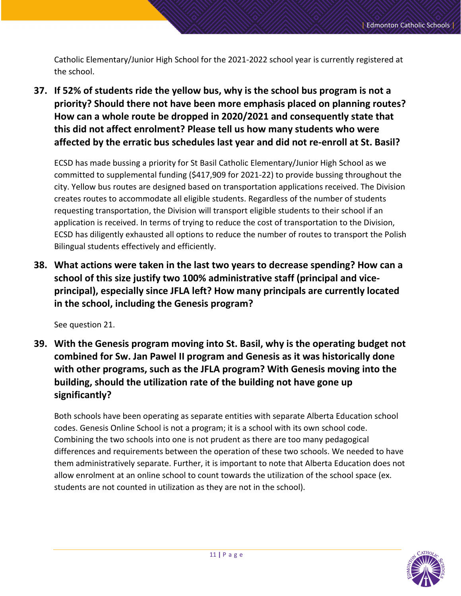Catholic Elementary/Junior High School for the 2021-2022 school year is currently registered at the school.

**37. If 52% of students ride the yellow bus, why is the school bus program is not a priority? Should there not have been more emphasis placed on planning routes? How can a whole route be dropped in 2020/2021 and consequently state that this did not affect enrolment? Please tell us how many students who were affected by the erratic bus schedules last year and did not re-enroll at St. Basil?** 

ECSD has made bussing a priority for St Basil Catholic Elementary/Junior High School as we committed to supplemental funding (\$417,909 for 2021-22) to provide bussing throughout the city. Yellow bus routes are designed based on transportation applications received. The Division creates routes to accommodate all eligible students. Regardless of the number of students requesting transportation, the Division will transport eligible students to their school if an application is received. In terms of trying to reduce the cost of transportation to the Division, ECSD has diligently exhausted all options to reduce the number of routes to transport the Polish Bilingual students effectively and efficiently.

**38. What actions were taken in the last two years to decrease spending? How can a school of this size justify two 100% administrative staff (principal and viceprincipal), especially since JFLA left? How many principals are currently located in the school, including the Genesis program?** 

See question 21.

**39. With the Genesis program moving into St. Basil, why is the operating budget not combined for Sw. Jan Pawel II program and Genesis as it was historically done with other programs, such as the JFLA program? With Genesis moving into the building, should the utilization rate of the building not have gone up significantly?** 

Both schools have been operating as separate entities with separate Alberta Education school codes. Genesis Online School is not a program; it is a school with its own school code. Combining the two schools into one is not prudent as there are too many pedagogical differences and requirements between the operation of these two schools. We needed to have them administratively separate. Further, it is important to note that Alberta Education does not allow enrolment at an online school to count towards the utilization of the school space (ex. students are not counted in utilization as they are not in the school).

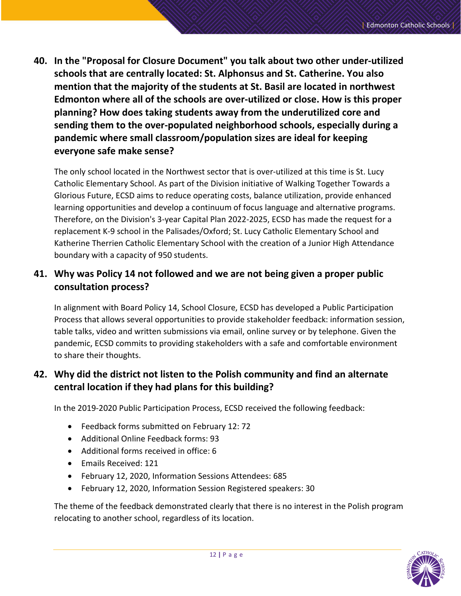**40. In the "Proposal for Closure Document" you talk about two other under-utilized schools that are centrally located: St. Alphonsus and St. Catherine. You also mention that the majority of the students at St. Basil are located in northwest Edmonton where all of the schools are over-utilized or close. How is this proper planning? How does taking students away from the underutilized core and sending them to the over-populated neighborhood schools, especially during a pandemic where small classroom/population sizes are ideal for keeping everyone safe make sense?** 

The only school located in the Northwest sector that is over-utilized at this time is St. Lucy Catholic Elementary School. As part of the Division initiative of Walking Together Towards a Glorious Future, ECSD aims to reduce operating costs, balance utilization, provide enhanced learning opportunities and develop a continuum of focus language and alternative programs. Therefore, on the Division's 3-year Capital Plan 2022-2025, ECSD has made the request for a replacement K-9 school in the Palisades/Oxford; St. Lucy Catholic Elementary School and Katherine Therrien Catholic Elementary School with the creation of a Junior High Attendance boundary with a capacity of 950 students.

# **41. Why was Policy 14 not followed and we are not being given a proper public consultation process?**

In alignment with Board Policy 14, School Closure, ECSD has developed a Public Participation Process that allows several opportunities to provide stakeholder feedback: information session, table talks, video and written submissions via email, online survey or by telephone. Given the pandemic, ECSD commits to providing stakeholders with a safe and comfortable environment to share their thoughts.

# **42. Why did the district not listen to the Polish community and find an alternate central location if they had plans for this building?**

In the 2019-2020 Public Participation Process, ECSD received the following feedback:

- Feedback forms submitted on February 12: 72
- Additional Online Feedback forms: 93
- Additional forms received in office: 6
- Emails Received: 121
- February 12, 2020, Information Sessions Attendees: 685
- February 12, 2020, Information Session Registered speakers: 30

The theme of the feedback demonstrated clearly that there is no interest in the Polish program relocating to another school, regardless of its location.